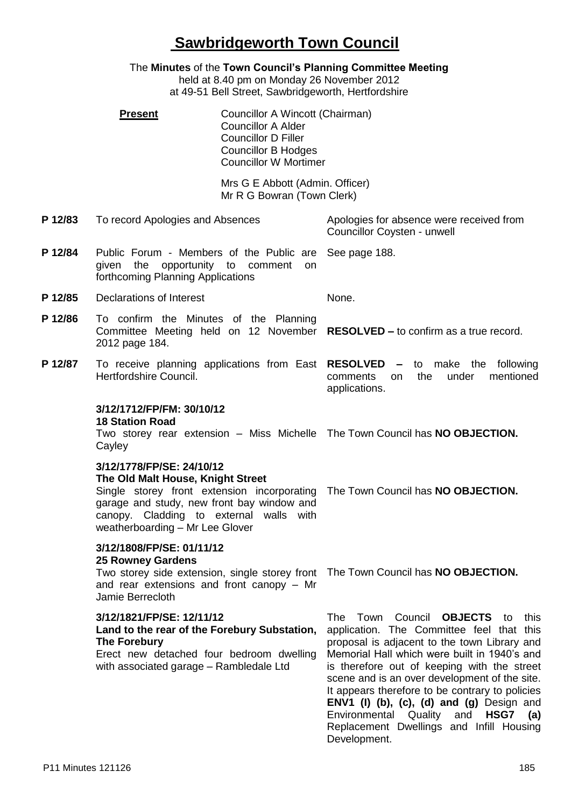# **Sawbridgeworth Town Council**

The **Minutes** of the **Town Council's Planning Committee Meeting** held at 8.40 pm on Monday 26 November 2012 at 49-51 Bell Street, Sawbridgeworth, Hertfordshire **Present Councillor A Wincott (Chairman)** Councillor A Alder Councillor D Filler Councillor B Hodges Councillor W Mortimer Mrs G E Abbott (Admin. Officer) Mr R G Bowran (Town Clerk) **P 12/83** To record Apologies and Absences Apologies for absence were received from Councillor Coysten - unwell **P 12/84** Public Forum - Members of the Public are given the opportunity to comment on forthcoming Planning Applications See page 188. **P 12/85** Declarations of Interest None. **P 12/86** To confirm the Minutes of the Planning Committee Meeting held on 12 November **RESOLVED –** to confirm as a true record. 2012 page 184. **P 12/87** To receive planning applications from East **RESOLVED –** to make the following Hertfordshire Council. comments on the under mentioned applications. **3/12/1712/FP/FM: 30/10/12 18 Station Road** Two storey rear extension - Miss Michelle The Town Council has **NO OBJECTION. Cayley 3/12/1778/FP/SE: 24/10/12 The Old Malt House, Knight Street** Single storey front extension incorporating The Town Council has **NO OBJECTION.** garage and study, new front bay window and canopy. Cladding to external walls with weatherboarding – Mr Lee Glover **3/12/1808/FP/SE: 01/11/12 25 Rowney Gardens** Two storey side extension, single storey front The Town Council has **NO OBJECTION.** and rear extensions and front canopy – Mr Jamie Berrecloth **3/12/1821/FP/SE: 12/11/12 Land to the rear of the Forebury Substation, The Forebury** Erect new detached four bedroom dwelling with associated garage – Rambledale Ltd The Town Council **OBJECTS** to this application. The Committee feel that this proposal is adjacent to the town Library and Memorial Hall which were built in 1940's and is therefore out of keeping with the street scene and is an over development of the site. It appears therefore to be contrary to policies **ENV1 (I) (b), (c), (d) and (g)** Design and Environmental Quality and **HSG7 (a)**  Replacement Dwellings and Infill Housing Development.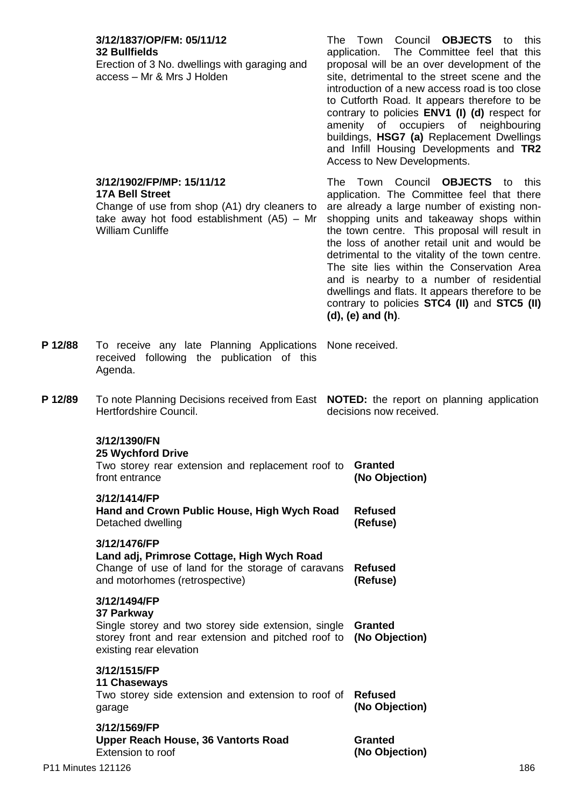|         | 3/12/1837/OP/FM: 05/11/12<br><b>32 Bullfields</b><br>Erection of 3 No. dwellings with garaging and<br>access - Mr & Mrs J Holden                                               |  | The Town Council <b>OBJECTS</b> to<br>this<br>application. The Committee feel that this<br>proposal will be an over development of the<br>site, detrimental to the street scene and the<br>introduction of a new access road is too close<br>to Cutforth Road. It appears therefore to be<br>contrary to policies ENV1 (I) (d) respect for<br>amenity of occupiers of neighbouring<br>buildings, HSG7 (a) Replacement Dwellings<br>and Infill Housing Developments and TR2<br>Access to New Developments.                                                  |
|---------|--------------------------------------------------------------------------------------------------------------------------------------------------------------------------------|--|------------------------------------------------------------------------------------------------------------------------------------------------------------------------------------------------------------------------------------------------------------------------------------------------------------------------------------------------------------------------------------------------------------------------------------------------------------------------------------------------------------------------------------------------------------|
|         | 3/12/1902/FP/MP: 15/11/12<br><b>17A Bell Street</b><br>Change of use from shop (A1) dry cleaners to<br>take away hot food establishment $(AS)$ – Mr<br><b>William Cunliffe</b> |  | The Town Council OBJECTS to<br>this<br>application. The Committee feel that there<br>are already a large number of existing non-<br>shopping units and takeaway shops within<br>the town centre. This proposal will result in<br>the loss of another retail unit and would be<br>detrimental to the vitality of the town centre.<br>The site lies within the Conservation Area<br>and is nearby to a number of residential<br>dwellings and flats. It appears therefore to be<br>contrary to policies STC4 (II) and STC5 (II)<br>$(d)$ , $(e)$ and $(h)$ . |
| P 12/88 | To receive any late Planning Applications<br>received following the publication of this<br>Agenda.                                                                             |  | None received.                                                                                                                                                                                                                                                                                                                                                                                                                                                                                                                                             |
| P 12/89 | To note Planning Decisions received from East <b>NOTED:</b> the report on planning application<br>Hertfordshire Council.                                                       |  | decisions now received.                                                                                                                                                                                                                                                                                                                                                                                                                                                                                                                                    |
|         | 3/12/1390/FN<br><b>25 Wychford Drive</b><br>Two storey rear extension and replacement roof to<br>front entrance                                                                |  | <b>Granted</b><br>(No Objection)                                                                                                                                                                                                                                                                                                                                                                                                                                                                                                                           |
|         | 3/12/1414/FP<br>Hand and Crown Public House, High Wych Road<br>Detached dwelling                                                                                               |  | <b>Refused</b><br>(Refuse)                                                                                                                                                                                                                                                                                                                                                                                                                                                                                                                                 |
|         | 3/12/1476/FP<br>Land adj, Primrose Cottage, High Wych Road<br>Change of use of land for the storage of caravans<br>and motorhomes (retrospective)                              |  | <b>Refused</b><br>(Refuse)                                                                                                                                                                                                                                                                                                                                                                                                                                                                                                                                 |
|         | 3/12/1494/FP<br>37 Parkway<br>Single storey and two storey side extension, single<br>storey front and rear extension and pitched roof to<br>existing rear elevation            |  | <b>Granted</b><br>(No Objection)                                                                                                                                                                                                                                                                                                                                                                                                                                                                                                                           |
|         | 3/12/1515/FP<br><b>11 Chaseways</b><br>Two storey side extension and extension to roof of<br>garage<br>3/12/1569/FP                                                            |  | <b>Refused</b><br>(No Objection)                                                                                                                                                                                                                                                                                                                                                                                                                                                                                                                           |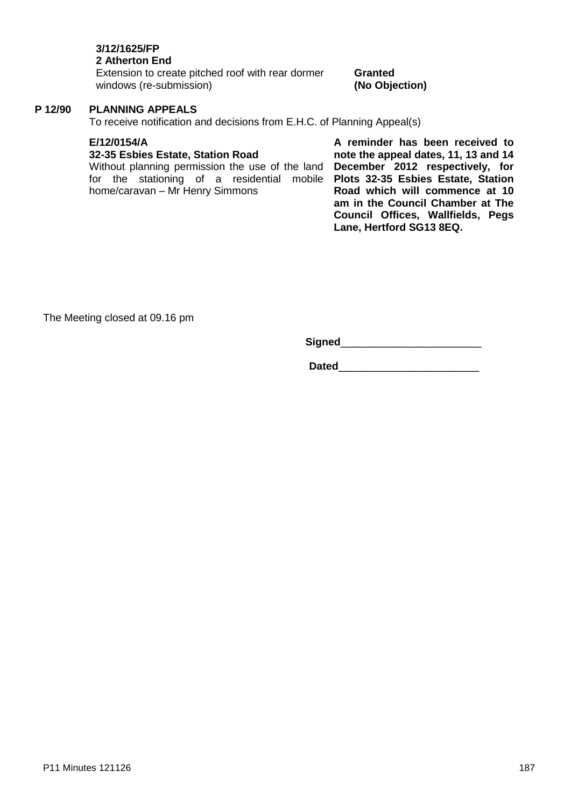# **3/12/1625/FP**

### **2 Atherton End**

Extension to create pitched roof with rear dormer windows (re-submission)

#### **Granted (No Objection)**

### **P 12/90 PLANNING APPEALS**

To receive notification and decisions from E.H.C. of Planning Appeal(s)

#### **E/12/0154/A**

#### **32-35 Esbies Estate, Station Road**

Without planning permission the use of the land for the stationing of a residential mobile home/caravan – Mr Henry Simmons

**A reminder has been received to note the appeal dates, 11, 13 and 14 December 2012 respectively, for Plots 32-35 Esbies Estate, Station Road which will commence at 10 am in the Council Chamber at The Council Offices, Wallfields, Pegs Lane, Hertford SG13 8EQ.**

The Meeting closed at 09.16 pm

**Signed**\_\_\_\_\_\_\_\_\_\_\_\_\_\_\_\_\_\_\_\_\_\_\_\_

**Dated**\_\_\_\_\_\_\_\_\_\_\_\_\_\_\_\_\_\_\_\_\_\_\_\_